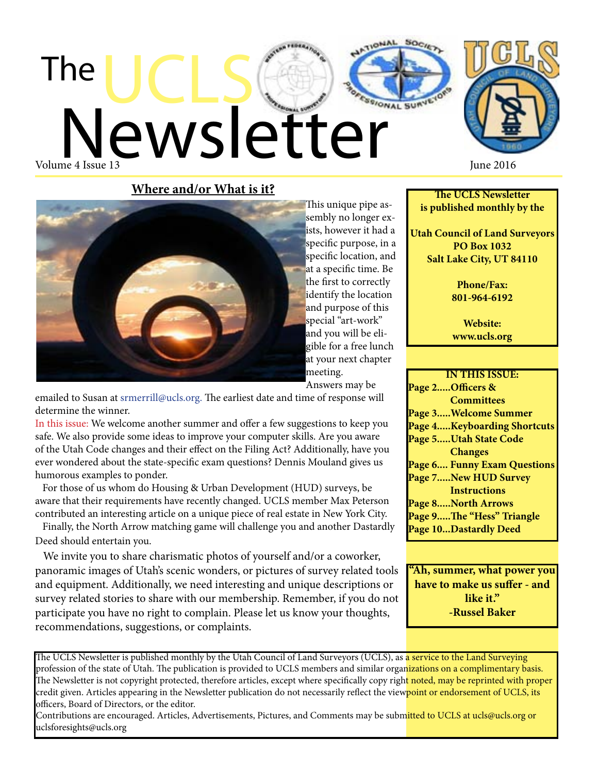



**Where and/or What is it?**



This unique pipe assembly no longer exists, however it had a specific purpose, in a specific location, and at a specific time. Be the first to correctly identify the location and purpose of this special "art-work" and you will be eligible for a free lunch at your next chapter meeting.

**Answers may be** 

emailed to Susan at srmerrill@ucls.org. The earliest date and time of response will determine the winner.

In this issue: We welcome another summer and offer a few suggestions to keep you safe. We also provide some ideas to improve your computer skills. Are you aware of the Utah Code changes and their effect on the Filing Act? Additionally, have you ever wondered about the state-specific exam questions? Dennis Mouland gives us humorous examples to ponder. th this issue: we welcome another summer and oner a few suggestion

For those of us whom do Housing & Urban Development (HUD) surveys, be aware that their requirements have recently changed. UCLS member Max Peterson contributed an interesting article on a unique piece of real estate in New York City. tomerated an interesting article on a aircraft proce of real column  $\overline{N}$ 

Finally, the North Arrow matching game will challenge you and another Dastardly Deed should entertain you.

 We invite you to share charismatic photos of yourself and/or a coworker, panoramic images of Utah's scenic wonders, or pictures of survey related tools and equipment. Additionally, we need interesting and unique descriptions or survey related stories to share with our membership. Remember, if you do not participate you have no right to complain. Please let us know your thoughts, recommendations, suggestions, or complaints.

**The UCLS Newsletter is published monthly by the**

**Utah Council of Land Surveyors PO Box 1032 Salt Lake City, UT 84110**

> **Phone/Fax: 801-964-6192**

**Website: www.ucls.org**

**IN THIS ISSUE: Page 2.....Officers & Committees Page 3.....Welcome Summer Page 4.....Keyboarding Shortcuts Page 5.....Utah State Code Changes Page 6.... Funny Exam Questions Page 7.....New HUD Survey Instructions Page 8.....North Arrows Page 9.....The "Hess" Triangle Page 10...Dastardly Deed**

**"Ah, summer, what power you have to make us suffer - and like it." -Russel Baker**

The UCLS Newsletter is published monthly by the Utah Council of Land Surveyors (UCLS), as a service to the Land Surveying profession of the state of Utah. The publication is provided to UCLS members and similar organizations on a complimentary basis. The Newsletter is not copyright protected, therefore articles, except where specifically copy righ<mark>t noted, may be reprinted with proper</mark> credit given. Articles appearing in the Newsletter publication do not necessarily reflect the viewpoint or endorsement of UCLS, its officers, Board of Directors, or the editor.

Contributions are encouraged. Articles, Advertisements, Pictures, and Comments may be submitted to UCLS at ucls@ucls.org or uclsforesights@ucls.org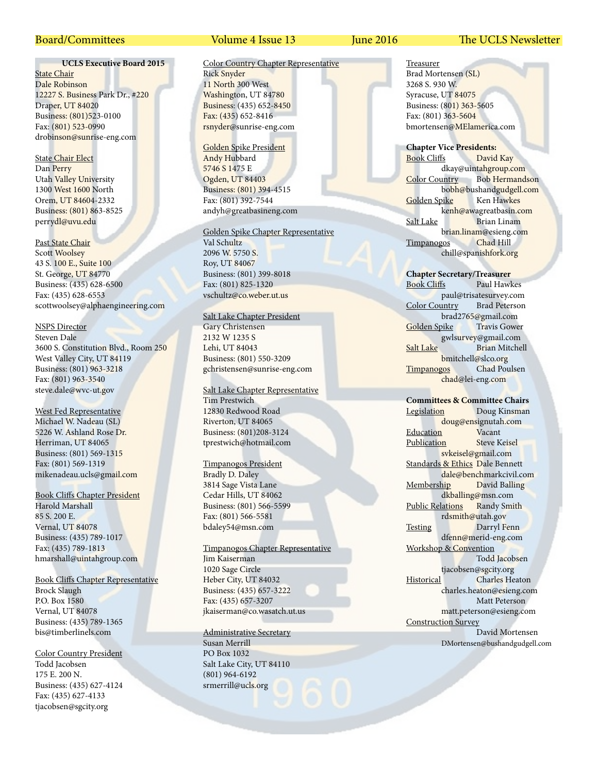#### **UCLS Executive Board 2015**

**State Chair** Dale Robinson 12227 S. Business Park Dr., #220 Draper, UT 84020 Business: (801)523-0100 Fax: (801) 523-0990 drobinson@sunrise-eng.com

State Chair Elect Dan Perry Utah Valley University 1300 West 1600 North Orem, UT 84604-2332 Business: (801) 863-8525 perrydl@uvu.edu

Past State Chair Scott Woolsey 43 S. 100 E., Suite 100 St. George, UT 84770 Business: (435) 628-6500 Fax: (435) 628-6553 scottwoolsey@alphaengineering.com

#### NSPS Director

Steven Dale 3600 S. Constitution Blvd., Room 250 West Valley City, UT 84119 Business: (801) 963-3218 Fax: (801) 963-3540 steve.dale@wvc-ut.gov

West Fed Representative Michael W. Nadeau (SL) 5226 W. Ashland Rose Dr. Herriman, UT 84065 Business: (801) 569-1315 Fax: (801) 569-1319 mikenadeau.ucls@gmail.com

Book Cliffs Chapter President Harold Marshall 85 S. 200 E. Vernal, UT 84078

Business: (435) 789-1017 Fax: (435) 789-1813 hmarshall@uintahgroup.com

Book Cliffs Chapter Representative Brock Slaugh P.O. Box 1580 Vernal, UT 84078 Business: (435) 789-1365 bis@timberlinels.com

Color Country President Todd Jacobsen 175 E. 200 N. Business: (435) 627-4124 Fax: (435) 627-4133 tjacobsen@sgcity.org

#### Board/Committees Volume 4 Issue 13 June 2016 The UCLS Newsletter

#### Color Country Chapter Representative Rick Snyder 11 North 300 West Washington, UT 84780 Business: (435) 652-8450 Fax: (435) 652-8416

Golden Spike President Andy Hubbard 5746 S 1475 E Ogden, UT 84403 Business: (801) 394-4515 Fax: (801) 392-7544 andyh@greatbasineng.com

rsnyder@sunrise-eng.com

#### Golden Spike Chapter Representative

Val Schultz 2096 W. 5750 S. Roy, UT 84067 Business: (801) 399-8018 Fax: (801) 825-1320 vschultz@co.weber.ut.us

#### Salt Lake Chapter President

Gary Christensen 2132 W 1235 S Lehi, UT 84043 Business: (801) 550-3209 gchristensen@sunrise-eng.com

Salt Lake Chapter Representative Tim Prestwich 12830 Redwood Road Riverton, UT 84065 Business: (801)208-3124 tprestwich@hotmail.com

#### Timpanogos President

Bradly D. Daley 3814 Sage Vista Lane Cedar Hills, UT 84062 Business: (801) 566-5599 Fax: (801) 566-5581 bdaley54@msn.com

#### Timpanogos Chapter Representative Jim Kaiserman

1020 Sage Circle Heber City, UT 84032 Business: (435) 657-3222 Fax: (435) 657-3207 jkaiserman@co.wasatch.ut.us

#### Administrative Secretary

Susan Merrill PO Box 1032 Salt Lake City, UT 84110 (801) 964-6192 srmerrill@ucls.org

Treasurer Brad Mortensen (SL) 3268 S. 930 W. Syracuse, UT 84075 Business: (801) 363-5605 Fax: (801) 363-5604 bmortensen@MElamerica.com

**Chapter Vice Presidents:** Book Cliffs David Kay dkay@uintahgroup.com Color Country Bob Hermandson bobh@bushandgudgell.com Golden Spike Ken Hawkes kenh@awagreatbasin.com Salt Lake Brian Linam brian.linam@esieng.com Timpanogos Chad Hill chill@spanishfork.org

**Chapter Secretary/Treasurer** Paul Hawkes paul@trisatesurvey.com Color Country Brad Peterson brad2765@gmail.com<br>
bike Travis Gower Golden Spike gwlsurvey@gmail.com Salt Lake Brian Mitchell bmitchell@slco.org Timpanogos Chad Poulsen chad@lei-eng.com

#### **Committees & Committee Chairs**

Legislation Doug Kinsman doug@ensignutah.com Education Vacant Publication Steve Keisel svkeisel@gmail.com Standards & Ethics Dale Bennett dale@benchmarkcivil.com Membership David Balling dkballing@msn.com Public Relations Randy Smith rdsmith@utah.gov Testing Darryl Fenn dfenn@merid-eng.com Workshop & Convention Todd Jacobsen tjacobsen@sgcity.org Historical Charles Heaton charles.heaton@esieng.com Matt Peterson matt.peterson@esieng.com Construction Survey David Mortensen DMortensen@bushandgudgell.com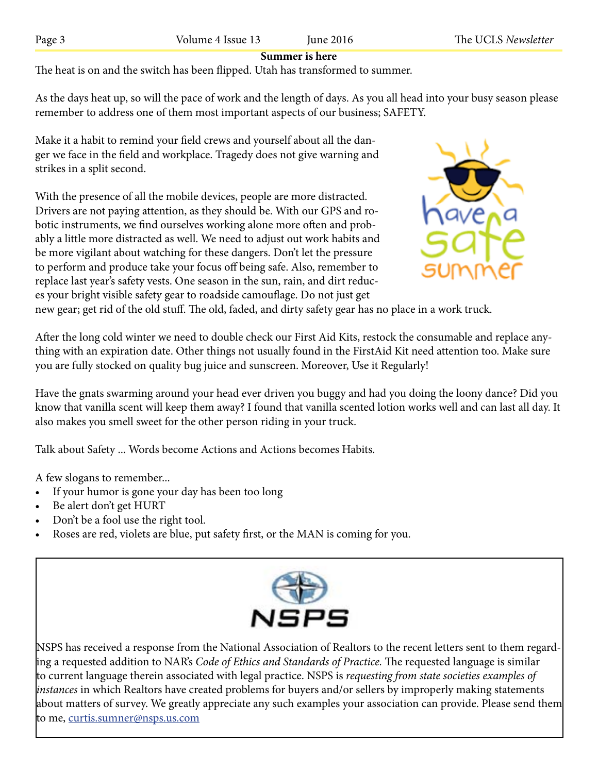# **Summer is here**

The heat is on and the switch has been flipped. Utah has transformed to summer.

As the days heat up, so will the pace of work and the length of days. As you all head into your busy season please remember to address one of them most important aspects of our business; SAFETY.

Make it a habit to remind your field crews and yourself about all the danger we face in the field and workplace. Tragedy does not give warning and strikes in a split second.

With the presence of all the mobile devices, people are more distracted. Drivers are not paying attention, as they should be. With our GPS and robotic instruments, we find ourselves working alone more often and probably a little more distracted as well. We need to adjust out work habits and be more vigilant about watching for these dangers. Don't let the pressure to perform and produce take your focus off being safe. Also, remember to replace last year's safety vests. One season in the sun, rain, and dirt reduces your bright visible safety gear to roadside camouflage. Do not just get



new gear; get rid of the old stuff. The old, faded, and dirty safety gear has no place in a work truck.

After the long cold winter we need to double check our First Aid Kits, restock the consumable and replace anything with an expiration date. Other things not usually found in the FirstAid Kit need attention too. Make sure you are fully stocked on quality bug juice and sunscreen. Moreover, Use it Regularly!

Have the gnats swarming around your head ever driven you buggy and had you doing the loony dance? Did you know that vanilla scent will keep them away? I found that vanilla scented lotion works well and can last all day. It also makes you smell sweet for the other person riding in your truck.

Talk about Safety ... Words become Actions and Actions becomes Habits.

A few slogans to remember...

- If your humor is gone your day has been too long
- Be alert don't get HURT
- Don't be a fool use the right tool.
- Roses are red, violets are blue, put safety first, or the MAN is coming for you.



NSPS has received a response from the National Association of Realtors to the recent letters sent to them regarding a requested addition to NAR's *Code of Ethics and Standards of Practice.* The requested language is similar to current language therein associated with legal practice. NSPS is *requesting from state societies examples of instances* in which Realtors have created problems for buyers and/or sellers by improperly making statements about matters of survey. We greatly appreciate any such examples your association can provide. Please send them to me, curtis.sumner@nsps.us.com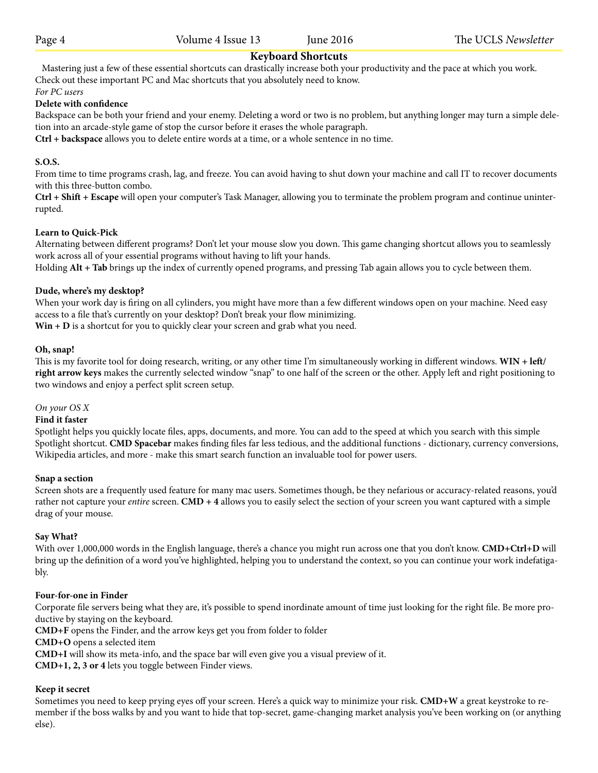## **Keyboard Shortcuts**

 Mastering just a few of these essential shortcuts can drastically increase both your productivity and the pace at which you work. Check out these important PC and Mac shortcuts that you absolutely need to know.

*For PC users*

### **Delete with confidence**

Backspace can be both your friend and your enemy. Deleting a word or two is no problem, but anything longer may turn a simple deletion into an arcade-style game of stop the cursor before it erases the whole paragraph.

**Ctrl + backspace** allows you to delete entire words at a time, or a whole sentence in no time.

### **S.O.S.**

From time to time programs crash, lag, and freeze. You can avoid having to shut down your machine and call IT to recover documents with this three-button combo.

**Ctrl + Shift + Escape** will open your computer's Task Manager, allowing you to terminate the problem program and continue uninterrupted.

#### **Learn to Quick-Pick**

Alternating between different programs? Don't let your mouse slow you down. This game changing shortcut allows you to seamlessly work across all of your essential programs without having to lift your hands.

Holding **Alt + Tab** brings up the index of currently opened programs, and pressing Tab again allows you to cycle between them.

### **Dude, where's my desktop?**

When your work day is firing on all cylinders, you might have more than a few different windows open on your machine. Need easy access to a file that's currently on your desktop? Don't break your flow minimizing. **Win + D** is a shortcut for you to quickly clear your screen and grab what you need.

#### **Oh, snap!**

This is my favorite tool for doing research, writing, or any other time I'm simultaneously working in different windows. **WIN + left/ right arrow keys** makes the currently selected window "snap" to one half of the screen or the other. Apply left and right positioning to two windows and enjoy a perfect split screen setup.

#### *On your OS X*

#### **Find it faster**

Spotlight helps you quickly locate files, apps, documents, and more. You can add to the speed at which you search with this simple Spotlight shortcut. **CMD Spacebar** makes finding files far less tedious, and the additional functions - dictionary, currency conversions, Wikipedia articles, and more - make this smart search function an invaluable tool for power users.

#### **Snap a section**

Screen shots are a frequently used feature for many mac users. Sometimes though, be they nefarious or accuracy-related reasons, you'd rather not capture your *entire* screen. **CMD + 4** allows you to easily select the section of your screen you want captured with a simple drag of your mouse.

#### **Say What?**

With over 1,000,000 words in the English language, there's a chance you might run across one that you don't know. **CMD+Ctrl+D** will bring up the definition of a word you've highlighted, helping you to understand the context, so you can continue your work indefatigably.

#### **Four-for-one in Finder**

Corporate file servers being what they are, it's possible to spend inordinate amount of time just looking for the right file. Be more productive by staying on the keyboard.

**CMD+F** opens the Finder, and the arrow keys get you from folder to folder

**CMD+O** opens a selected item

**CMD+I** will show its meta-info, and the space bar will even give you a visual preview of it.

**CMD+1, 2, 3 or 4** lets you toggle between Finder views.

#### **Keep it secret**

Sometimes you need to keep prying eyes off your screen. Here's a quick way to minimize your risk. **CMD+W** a great keystroke to remember if the boss walks by and you want to hide that top-secret, game-changing market analysis you've been working on (or anything else).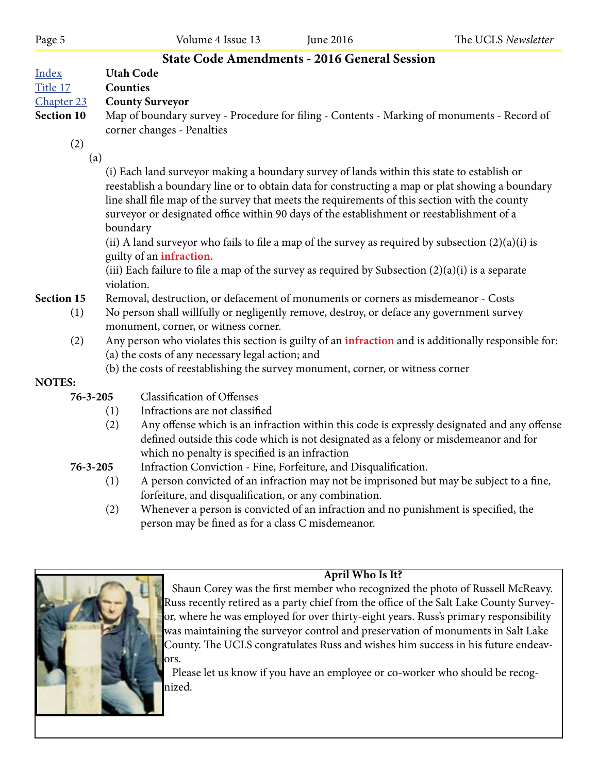# **State Code Amendments - 2016 General Session**

| Index | <b>Utah Code</b> |
|-------|------------------|
|       |                  |

Title 17 **Counties**

Chapter 23 **County Surveyor**

**Section 10** Map of boundary survey - Procedure for filing - Contents - Marking of monuments - Record of corner changes - Penalties

(2)

(a)

 (i) Each land surveyor making a boundary survey of lands within this state to establish or reestablish a boundary line or to obtain data for constructing a map or plat showing a boundary line shall file map of the survey that meets the requirements of this section with the county surveyor or designated office within 90 days of the establishment or reestablishment of a boundary

(ii) A land surveyor who fails to file a map of the survey as required by subsection  $(2)(a)(i)$  is guilty of an **infraction.**

(iii) Each failure to file a map of the survey as required by Subsection  $(2)(a)(i)$  is a separate violation.

# **Section 15** Removal, destruction, or defacement of monuments or corners as misdemeanor - Costs

- (1) No person shall willfully or negligently remove, destroy, or deface any government survey monument, corner, or witness corner.
- (2) Any person who violates this section is guilty of an **infraction** and is additionally responsible for: (a) the costs of any necessary legal action; and
	- (b) the costs of reestablishing the survey monument, corner, or witness corner

# **NOTES:**

- **76-3-205** Classification of Offenses
	- (1) Infractions are not classified
	- (2) Any offense which is an infraction within this code is expressly designated and any offense defined outside this code which is not designated as a felony or misdemeanor and for which no penalty is specified is an infraction
- **76-3-205** Infraction Conviction Fine, Forfeiture, and Disqualification.
	- (1) A person convicted of an infraction may not be imprisoned but may be subject to a fine, forfeiture, and disqualification, or any combination.
	- (2) Whenever a person is convicted of an infraction and no punishment is specified, the person may be fined as for a class C misdemeanor.



**April Who Is It?**

 Shaun Corey was the first member who recognized the photo of Russell McReavy. Russ recently retired as a party chief from the office of the Salt Lake County Surveyor, where he was employed for over thirty-eight years. Russ's primary responsibility was maintaining the surveyor control and preservation of monuments in Salt Lake County. The UCLS congratulates Russ and wishes him success in his future endeavors.

 Please let us know if you have an employee or co-worker who should be recognized.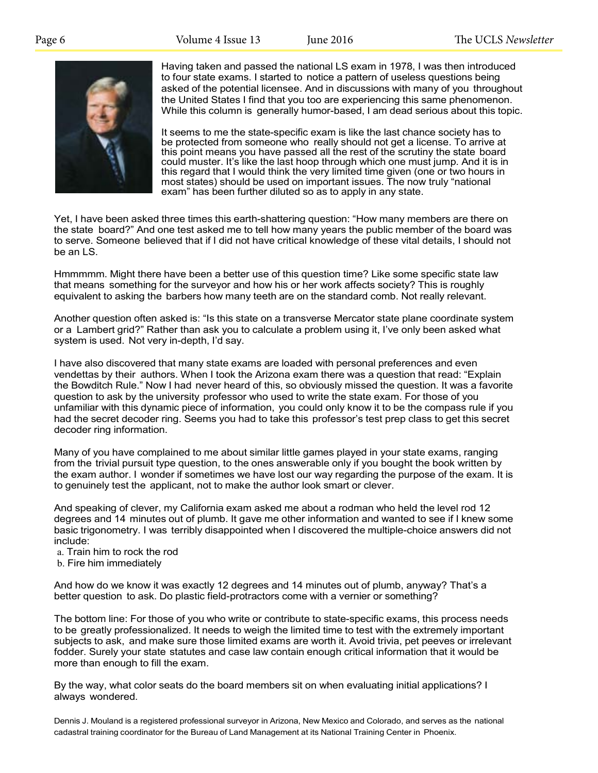

Having taken and passed the national LS exam in 1978, I was then introduced to four state exams. I started to notice a pattern of useless questions being asked of the potential licensee. And in discussions with many of you throughout the United States I find that you too are experiencing this same phenomenon. While this column is generally humor-based, I am dead serious about this topic.

It seems to me the state-specific exam is like the last chance society has to be protected from someone who really should not get a license. To arrive at this point means you have passed all the rest of the scrutiny the state board could muster. It's like the last hoop through which one must jump. And it is in this regard that I would think the very limited time given (one or two hours in most states) should be used on important issues. The now truly "national exam" has been further diluted so as to apply in any state.

Yet, I have been asked three times this earth-shattering question: "How many members are there on the state board?" And one test asked me to tell how many years the public member of the board was to serve. Someone believed that if I did not have critical knowledge of these vital details, I should not be an LS.

Hmmmmm. Might there have been a better use of this question time? Like some specific state law that means something for the surveyor and how his or her work affects society? This is roughly equivalent to asking the barbers how many teeth are on the standard comb. Not really relevant.

Another question often asked is: "Is this state on a transverse Mercator state plane coordinate system or a Lambert grid?" Rather than ask you to calculate a problem using it, I've only been asked what system is used. Not very in-depth, I'd say.

I have also discovered that many state exams are loaded with personal preferences and even vendettas by their authors. When I took the Arizona exam there was a question that read: "Explain the Bowditch Rule." Now I had never heard of this, so obviously missed the question. It was a favorite question to ask by the university professor who used to write the state exam. For those of you unfamiliar with this dynamic piece of information, you could only know it to be the compass rule if you had the secret decoder ring. Seems you had to take this professor's test prep class to get this secret decoder ring information.

Many of you have complained to me about similar little games played in your state exams, ranging from the trivial pursuit type question, to the ones answerable only if you bought the book written by the exam author. I wonder if sometimes we have lost our way regarding the purpose of the exam. It is to genuinely test the applicant, not to make the author look smart or clever.

And speaking of clever, my California exam asked me about a rodman who held the level rod 12 degrees and 14 minutes out of plumb. It gave me other information and wanted to see if I knew some basic trigonometry. I was terribly disappointed when I discovered the multiple-choice answers did not include:

- a. Train him to rock the rod
- b. Fire him immediately

And how do we know it was exactly 12 degrees and 14 minutes out of plumb, anyway? That's a better question to ask. Do plastic field-protractors come with a vernier or something?

The bottom line: For those of you who write or contribute to state-specific exams, this process needs to be greatly professionalized. It needs to weigh the limited time to test with the extremely important subjects to ask, and make sure those limited exams are worth it. Avoid trivia, pet peeves or irrelevant fodder. Surely your state statutes and case law contain enough critical information that it would be more than enough to fill the exam.

By the way, what color seats do the board members sit on when evaluating initial applications? I always wondered.

Dennis J. Mouland is a registered professional surveyor in Arizona, New Mexico and Colorado, and serves as the national cadastral training coordinator for the Bureau of Land Management at its National Training Center in Phoenix.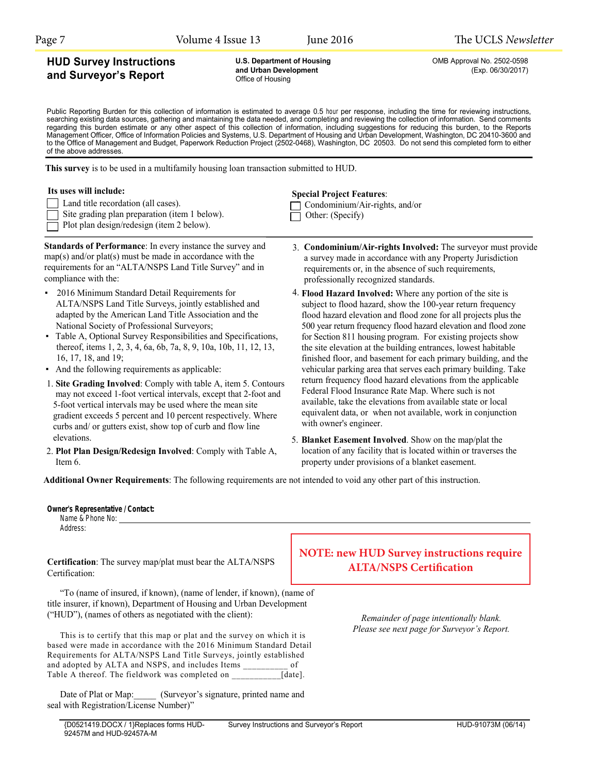**U.S. Department of Housing** <br> **and Urban Development CEAD Act Act (EXD. 06/30/2017)**<br>
(Exp. 06/30/2017)

### **HUD Survey Instructions and Surveyor's Report**

and Urban Development Office of Housing

Public Reporting Burden for this collection of information is estimated to average 0.5 hour per response, including the time for reviewing instructions, searching existing data sources, gathering and maintaining the data needed, and completing and reviewing the collection of information. Send comments regarding this burden estimate or any other aspect of this collection of information, including suggestions for reducing this burden, to the Reports Management Officer, Office of Information Policies and Systems, U.S. Department of Housing and Urban Development, Washington, DC 20410-3600 and to the Office of Management and Budget, Paperwork Reduction Project (2502-0468), Washington, DC 20503. Do not send this completed form to either of the above addresses.

**This survey** is to be used in a multifamily housing loan transaction submitted to HUD.

#### **Its uses will include:**

| Land title recordation (all cases). |  |
|-------------------------------------|--|
|-------------------------------------|--|

- Site grading plan preparation (item 1 below).
- Plot plan design/redesign (item 2 below).

**Standards of Performance**: In every instance the survey and map(s) and/or plat(s) must be made in accordance with the requirements for an "ALTA/NSPS Land Title Survey" and in compliance with the:

- 2016 Minimum Standard Detail Requirements for ALTA/NSPS Land Title Surveys, jointly established and adapted by the American Land Title Association and the National Society of Professional Surveyors;
- Table A, Optional Survey Responsibilities and Specifications, thereof, items 1, 2, 3, 4, 6a, 6b, 7a, 8, 9, 10a, 10b, 11, 12, 13, 16, 17, 18, and 19;
- And the following requirements as applicable:

**Owner's Representative / Contact:** 

- 1. **Site Grading Involved**: Comply with table A, item 5. Contours may not exceed 1-foot vertical intervals, except that 2-foot and 5-foot vertical intervals may be used where the mean site gradient exceeds 5 percent and 10 percent respectively. Where curbs and/ or gutters exist, show top of curb and flow line elevations.
- 2. **Plot Plan Design/Redesign Involved**: Comply with Table A, Item 6.

#### **Special Project Features**: C Condominium/Air-rights, and/or

| $\sim$ Condominiquity All-rights, and $\sim$ |
|----------------------------------------------|
| $\Box$ Other: (Specify)                      |

- 3. **Condominium/Air-rights Involved:** The surveyor must provide a survey made in accordance with any Property Jurisdiction requirements or, in the absence of such requirements, professionally recognized standards.
- 4. **Flood Hazard Involved:** Where any portion of the site is subject to flood hazard, show the 100-year return frequency flood hazard elevation and flood zone for all projects plus the 500 year return frequency flood hazard elevation and flood zone for Section 811 housing program. For existing projects show the site elevation at the building entrances, lowest habitable finished floor, and basement for each primary building, and the vehicular parking area that serves each primary building. Take return frequency flood hazard elevations from the applicable Federal Flood Insurance Rate Map. Where such is not available, take the elevations from available state or local equivalent data, or when not available, work in conjunction with owner's engineer.
- 5. **Blanket Easement Involved**. Show on the map/plat the location of any facility that is located within or traverses the property under provisions of a blanket easement.

**Additional Owner Requirements**: The following requirements are not intended to void any other part of this instruction.

| Name & Phone No:<br>Address:                                                                                                                                                                                        |                                                                                    |
|---------------------------------------------------------------------------------------------------------------------------------------------------------------------------------------------------------------------|------------------------------------------------------------------------------------|
| Certification: The survey map/plat must bear the ALTA/NSPS<br>Certification:                                                                                                                                        | <b>NOTE: new HUD Survey instructions require</b><br><b>ALTA/NSPS Certification</b> |
| "To (name of insured, if known), (name of lender, if known), (name of<br>title insurer, if known), Department of Housing and Urban Development<br>("HUD"), (names of others as negotiated with the client).         | Remainder of page intentionally blank.                                             |
| This is to certify that this map or plat and the survey on which it is<br>based were made in accordance with the 2016 Minimum Standard Detail<br>Requirements for ALTA/NSPS Land Title Surveys, jointly established | Please see next page for Surveyor's Report.                                        |

Date of Plat or Map: (Surveyor's signature, printed name and seal with Registration/License Number)"

and adopted by ALTA and NSPS, and includes Items of Table A thereof. The fieldwork was completed on [date].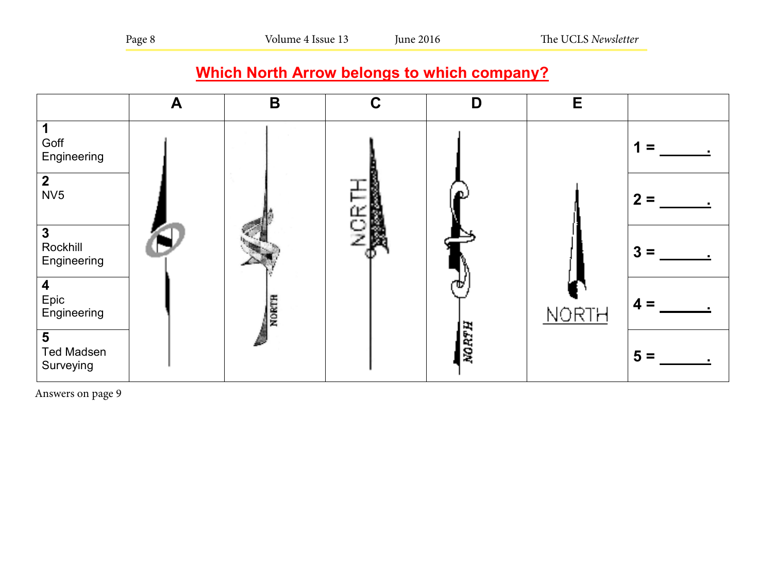# **Which North Arrow belongs to which company?**



Answers on page 9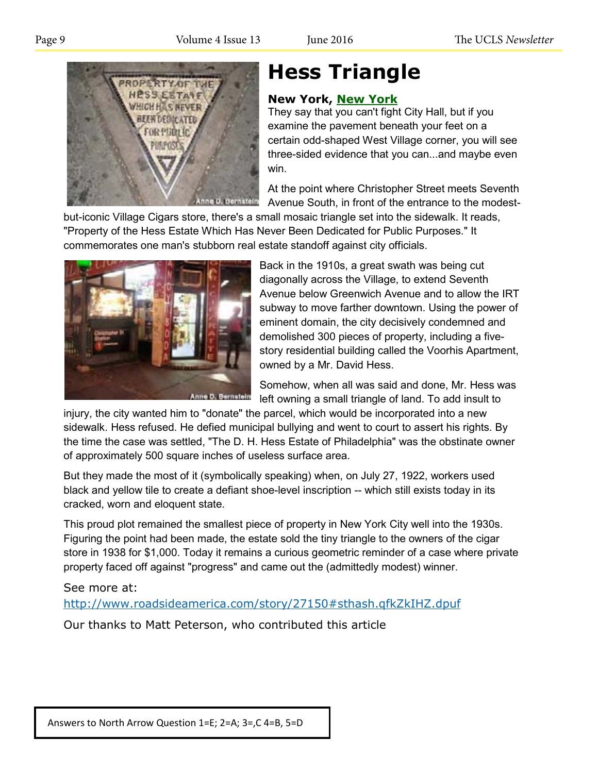

# **Hess Triangle**

# **New York, New York**

They say that you can't fight City Hall, but if you examine the pavement beneath your feet on a certain odd-shaped West Village corner, you will see three-sided evidence that you can...and maybe even win.

At the point where Christopher Street meets Seventh Avenue South, in front of the entrance to the modest-

but-iconic Village Cigars store, there's a small mosaic triangle set into the sidewalk. It reads, "Property of the Hess Estate Which Has Never Been Dedicated for Public Purposes." It commemorates one man's stubborn real estate standoff against city officials.



Back in the 1910s, a great swath was being cut diagonally across the Village, to extend Seventh Avenue below Greenwich Avenue and to allow the IRT subway to move farther downtown. Using the power of eminent domain, the city decisively condemned and demolished 300 pieces of property, including a five-**Which Islam Story residential building called the Voorhis Apartment, Which Islam Arrow by a Mr. Dovid Uses** owned by a Mr. David Hess.

**A** Somehow, when all was said and done, Mr. Hess was left owning a small triangle of land. To add insult to

injury, the city wanted him to "donate" the parcel, which would be incorporated into a new sidewalk. Hess refused. He defied municipal bullying and went to court to assert his rights. By sidewalk. Hess refused. He defied municipal bullying and went to court to assert his rights. By<br>the time the case was settled, "The D. H. Hess Estate of Philadelphia" was the obstinate owner of approximately 500 square inches of useless surface area.

But they made the most of it (symbolically speaking) when, on July 27, 1922, workers used But they made the most of it (symbolically speaking) when, on July 27, 1922, workers used<br>black and yellow tile to create a defiant shoe-level inscription -- which still exists today in its cracked, worn and eloquent state.

This proud plot remained the smallest piece of property in New York City well into the 1930s. Figuring the point had been made, the estate sold the tiny triangle to the owners of the cigar<br>
Repring the point had been made, the estate sold the tiny triangle to the owners of the cigar store in 1938 for \$1,000. Today it remains a curious geometric reminder of a case where private property faced off against "progress" and came out the (admittedly modest) winner.

# See more at:

See more at:<br><u>http://www.roadsideamerica.com/story/27150#sthash.qfkZkIHZ.dpuf</u>

Our thanks to Matt Peterson, who contributed this article

Answers to North Arrow Question 1=E; 2=A; 3=,C 4=B, 5=D